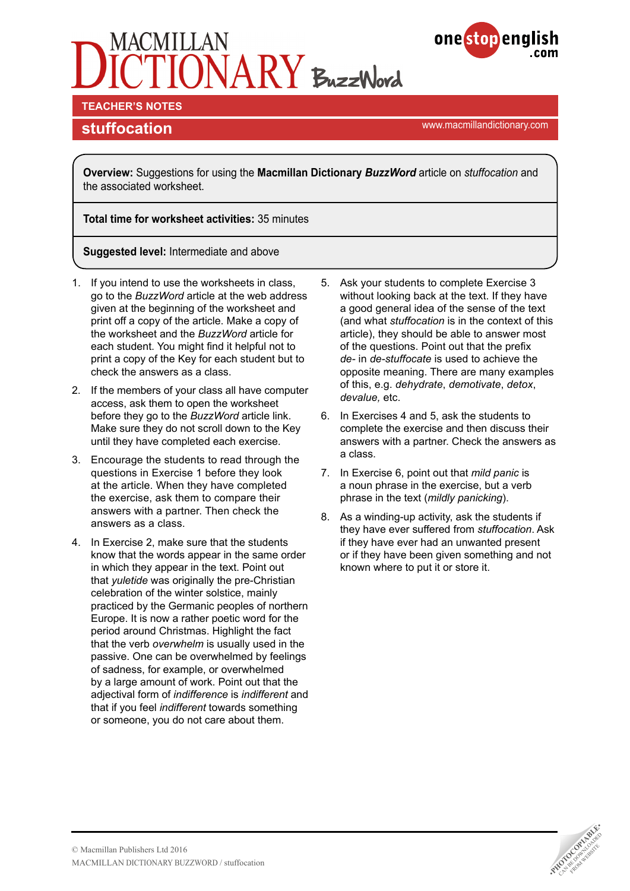# $ONARY$  BuzzWord



**TEACHER'S NOTES** 

**stuffocation stuffocation** 

**Overview:** Suggestions for using the **Macmillan Dictionary** *BuzzWord* article on *stuffocation* and the associated worksheet.

**Total time for worksheet activities:** 35 minutes

**Suggested level:** Intermediate and above

- 1. If you intend to use the worksheets in class, go to the *BuzzWord* article at the web address given at the beginning of the worksheet and print off a copy of the article. Make a copy of the worksheet and the *BuzzWord* article for each student. You might find it helpful not to print a copy of the Key for each student but to check the answers as a class.
- 2. If the members of your class all have computer access, ask them to open the worksheet before they go to the *BuzzWord* article link. Make sure they do not scroll down to the Key until they have completed each exercise.
- 3. Encourage the students to read through the questions in Exercise 1 before they look at the article. When they have completed the exercise, ask them to compare their answers with a partner. Then check the answers as a class.
- 4. In Exercise 2, make sure that the students know that the words appear in the same order in which they appear in the text. Point out that *yuletide* was originally the pre-Christian celebration of the winter solstice, mainly practiced by the Germanic peoples of northern Europe. It is now a rather poetic word for the period around Christmas. Highlight the fact that the verb *overwhelm* is usually used in the passive. One can be overwhelmed by feelings of sadness, for example, or overwhelmed by a large amount of work. Point out that the adjectival form of *indifference* is *indifferent* and that if you feel *indifferent* towards something or someone, you do not care about them.
- 5. Ask your students to complete Exercise 3 without looking back at the text. If they have a good general idea of the sense of the text (and what *stuffocation* is in the context of this article), they should be able to answer most of the questions. Point out that the prefix *de-* in *de-stuffocate* is used to achieve the opposite meaning. There are many examples of this, e.g. *dehydrate*, *demotivate*, *detox*, *devalue,* etc.
- 6. In Exercises 4 and 5, ask the students to complete the exercise and then discuss their answers with a partner. Check the answers as a class.
- 7. In Exercise 6, point out that *mild panic* is a noun phrase in the exercise, but a verb phrase in the text (*mildly panicking*).
- 8. As a winding-up activity, ask the students if they have ever suffered from *stuffocation*. Ask if they have ever had an unwanted present or if they have been given something and not known where to put it or store it.

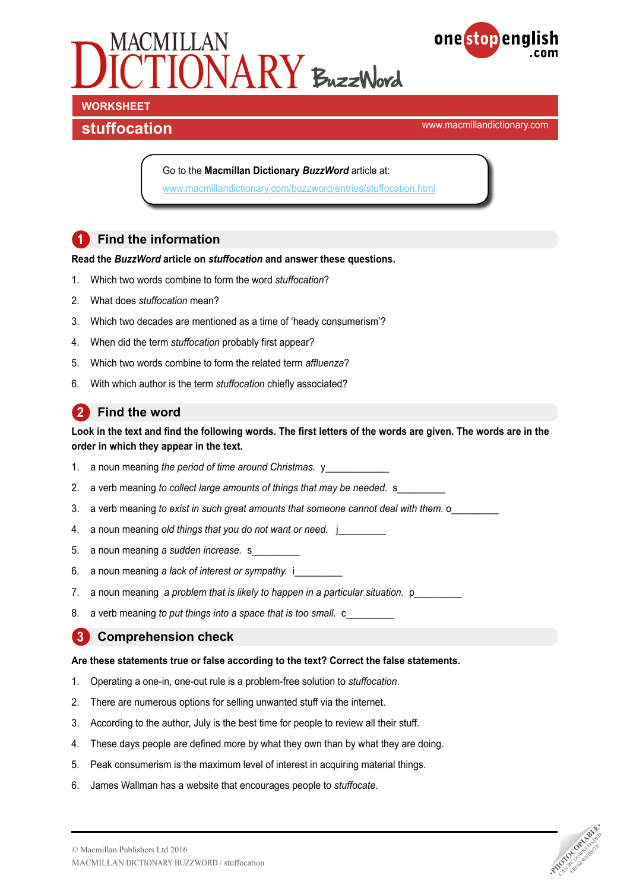



**stuffocation stuffocation** 

Go to the **Macmillan Dictionary** *BuzzWord* article at: [www.macmillandictionary.com/buzzword/entries/stuffocation.html](http://www.macmillandictionary.com/buzzword/entries/stuffocation.html)

#### **1** Find the information

#### **Read the** *BuzzWord* **article on** *stuffocation* **and answer these questions.**

- 1. Which two words combine to form the word *stuffocation*?
- 2. What does *stuffocation* mean?
- 3. Which two decades are mentioned as a time of 'heady consumerism'?
- 4. When did the term *stuffocation* probably first appear?
- 5. Which two words combine to form the related term *affluenza*?
- 6. With which author is the term *stuffocation* chiefly associated?

#### **2 Find the word**

#### **Look in the text and find the following words. The first letters of the words are given. The words are in the order in which they appear in the text.**

- 1. a noun meaning *the period of time around Christmas.* y
- 2. a verb meaning to collect large amounts of things that may be needed. s\_
- 3. a verb meaning *to exist in such great amounts that someone cannot deal with them.* o
- 4. a noun meaning *old things that you do not want or need.* j\_\_\_\_\_\_\_\_\_
- 5. a noun meaning a sudden increase. s
- 6. a noun meaning *a lack of interest or sympathy.* i\_\_\_\_\_\_\_\_\_
- 7. a noun meaning a problem that is likely to happen in a particular situation. p
- 8. a verb meaning *to put things into a space that is too small.* c

#### **3 Comprehension check**

#### **Are these statements true or false according to the text? Correct the false statements.**

- 1. Operating a one-in, one-out rule is a problem-free solution to *stuffocation*.
- 2. There are numerous options for selling unwanted stuff via the internet.
- 3. According to the author, July is the best time for people to review all their stuff.
- 4. These days people are defined more by what they own than by what they are doing.
- 5. Peak consumerism is the maximum level of interest in acquiring material things.
- 6. James Wallman has a website that encourages people to *stuffocate*.

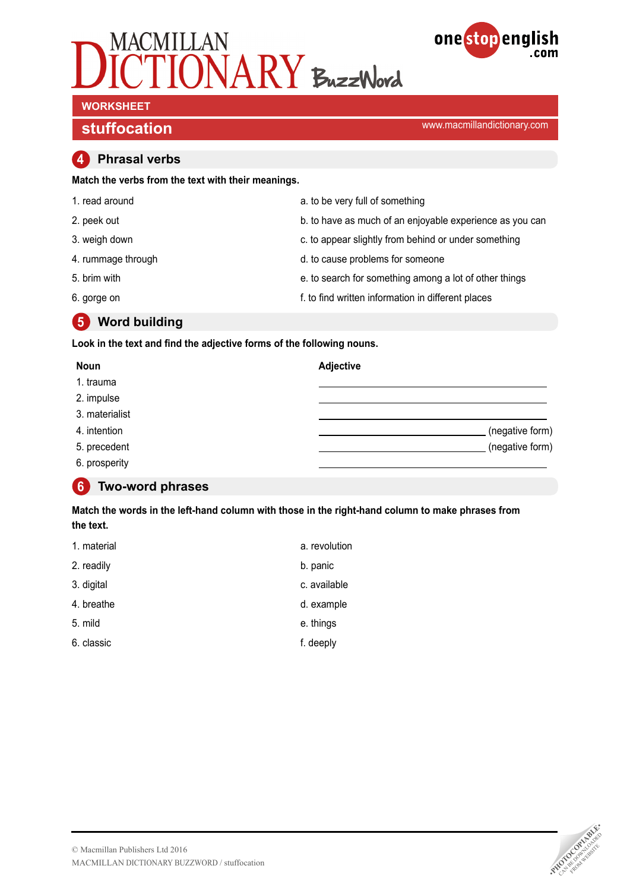



## **WORKSHEET**

**stuffocation stuffocation** 

#### **4 Phrasal verbs**

**Match the verbs from the text with their meanings.**

| 1. read around     | a. to be very full of something                          |
|--------------------|----------------------------------------------------------|
| 2. peek out        | b. to have as much of an enjoyable experience as you can |
| 3. weigh down      | c. to appear slightly from behind or under something     |
| 4. rummage through | d. to cause problems for someone                         |
| 5. brim with       | e. to search for something among a lot of other things   |
| 6. gorge on        | f. to find written information in different places       |

**5 Word building** 

**Look in the text and find the adjective forms of the following nouns.**

| <b>Noun</b>    | <b>Adjective</b> |  |
|----------------|------------------|--|
| 1. trauma      |                  |  |
| 2. impulse     |                  |  |
| 3. materialist |                  |  |
| 4. intention   | (negative form)  |  |
| 5. precedent   | (negative form)  |  |
| 6. prosperity  |                  |  |

#### **6 Two-word phrases**

**Match the words in the left-hand column with those in the right-hand column to make phrases from the text.**

| 1. material | a. revolution |
|-------------|---------------|
| 2. readily  | b. panic      |
| 3. digital  | c. available  |
| 4. breathe  | d. example    |
| 5. mild     | e. things     |
| 6. classic  | f. deeply     |